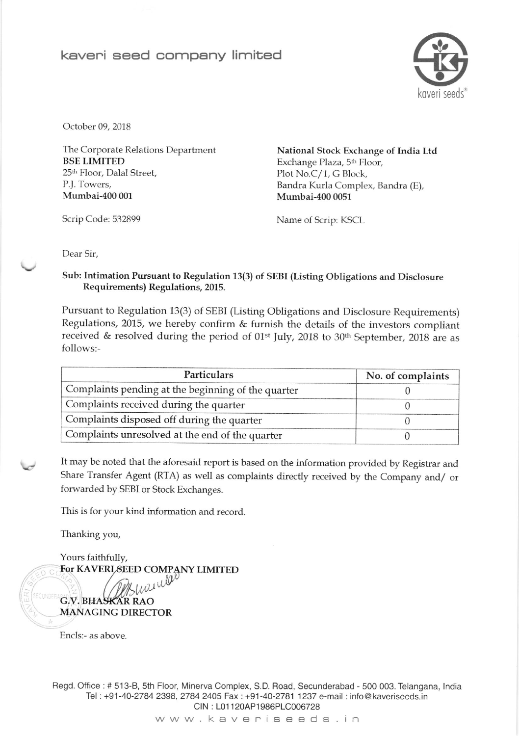## keveni seed company limited



October 09, 2018

The Corporate Relations Department BSE LIMITED 25<sup>th</sup> Floor, Dalal Street, P.J. Towers, Mumbai-400 001

National Stock Exchange of India Ltd Exchange Plaza, 5<sup>th</sup> Floor, Plot No.C/1, G Block, Bandra Kurla Complex, Bandra (E), Mumbai-400 0051

Scrip Code: 532899 Name of Scrip: KSCL

Dear Sir,

Sub: Intimation Pursuant to Regulation 13(3) of SEBI (Listing Obligations and Disclosure Requirements) Regulations, 2015.

Pursuant to Regulation 13(3) of sEBI (Listing obligations and Disclosure Requirements) Regulations, 2015, we hereby confirm & furnish the details of the investors compliant received & resolved during the period of 01<sup>st</sup> July, 2018 to 30<sup>th</sup> September, 2018 are as follows:-

| <b>Particulars</b>                                 | No. of complaints |  |
|----------------------------------------------------|-------------------|--|
| Complaints pending at the beginning of the quarter |                   |  |
| Complaints received during the quarter             |                   |  |
| Complaints disposed off during the quarter         |                   |  |
| Complaints unresolved at the end of the quarter    |                   |  |

It may be noted that the aforesaid report is based on the information provided by Registrar and share Transfer Agent (RTA) as well as complaints directly received by the Company and/ or forwarded by SEBI or Stock Exchanges.

This is for your kind information and record.

Thanking you,

Yours faithfuliy, For KAVERLSEED COMPANY LIMITED

G,V. BHASKAR RAO MANAGING DIRECTOR

Encls:- as above

Regd. Ofiice : # 513-8, sth Floor, Minerva Complex, S.D. Road, Secunderabad - 500 003. Telangana, lndia Tel : +91-40-2784 2398,2784 2405 Fax: +91-40-2781 1237 e-mail : info @ kaveriseeds.in CIN: L01120AP1986PLC006728